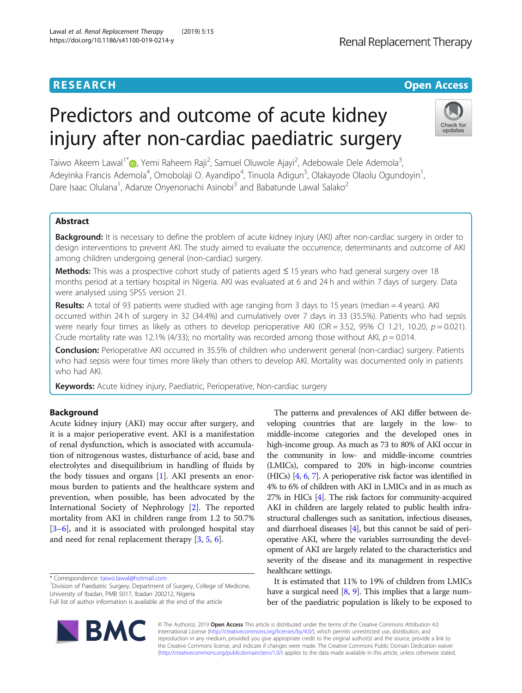# Predictors and outcome of acute kidney injury after non-cardiac paediatric surgery

Taiwo Akeem Lawal<sup>1[\\*](http://orcid.org/0000-0002-8632-5783)</sup> (**b**, Yemi Raheem Raji<sup>2</sup>, Samuel Oluwole Ajayi<sup>2</sup>, Adebowale Dele Ademola<sup>3</sup> , Adeyinka Francis Ademola<sup>4</sup>, Omobolaji O. Ayandipo<sup>4</sup>, Tinuola Adigun<sup>5</sup>, Olakayode Olaolu Ogundoyin<sup>1</sup> , Dare Isaac Olulana<sup>1</sup>, Adanze Onyenonachi Asinobi<sup>3</sup> and Babatunde Lawal Salako<sup>2</sup>

# Abstract

**Background:** It is necessary to define the problem of acute kidney injury (AKI) after non-cardiac surgery in order to design interventions to prevent AKI. The study aimed to evaluate the occurrence, determinants and outcome of AKI among children undergoing general (non-cardiac) surgery.

Methods: This was a prospective cohort study of patients aged ≤ 15 years who had general surgery over 18 months period at a tertiary hospital in Nigeria. AKI was evaluated at 6 and 24 h and within 7 days of surgery. Data were analysed using SPSS version 21.

Results: A total of 93 patients were studied with age ranging from 3 days to 15 years (median = 4 years). AKI occurred within 24 h of surgery in 32 (34.4%) and cumulatively over 7 days in 33 (35.5%). Patients who had sepsis were nearly four times as likely as others to develop perioperative AKI (OR = 3.52, 95% CI 1.21, 10.20,  $p = 0.021$ ). Crude mortality rate was 12.1% (4/33); no mortality was recorded among those without AKI,  $p = 0.014$ .

Conclusion: Perioperative AKI occurred in 35.5% of children who underwent general (non-cardiac) surgery. Patients who had sepsis were four times more likely than others to develop AKI. Mortality was documented only in patients who had AKI.

Keywords: Acute kidney injury, Paediatric, Perioperative, Non-cardiac surgery

# Background

Acute kidney injury (AKI) may occur after surgery, and it is a major perioperative event. AKI is a manifestation of renal dysfunction, which is associated with accumulation of nitrogenous wastes, disturbance of acid, base and electrolytes and disequilibrium in handling of fluids by the body tissues and organs [[1\]](#page-5-0). AKI presents an enormous burden to patients and the healthcare system and prevention, when possible, has been advocated by the International Society of Nephrology [[2\]](#page-5-0). The reported mortality from AKI in children range from 1.2 to 50.7% [[3](#page-5-0)–[6\]](#page-6-0), and it is associated with prolonged hospital stay and need for renal replacement therapy [[3,](#page-5-0) [5,](#page-6-0) [6\]](#page-6-0).

\* Correspondence: [taiwo.lawal@hotmail.com](mailto:taiwo.lawal@hotmail.com) <sup>1</sup>

<sup>1</sup> Division of Paediatric Surgery, Department of Surgery, College of Medicine, University of Ibadan, PMB 5017, Ibadan 200212, Nigeria

Full list of author information is available at the end of the article



The patterns and prevalences of AKI differ between developing countries that are largely in the low- to middle-income categories and the developed ones in high-income group. As much as 73 to 80% of AKI occur in the community in low- and middle-income countries (LMICs), compared to 20% in high-income countries (HICs) [\[4,](#page-5-0) [6](#page-6-0), [7\]](#page-6-0). A perioperative risk factor was identified in 4% to 6% of children with AKI in LMICs and in as much as 27% in HICs [\[4](#page-5-0)]. The risk factors for community-acquired AKI in children are largely related to public health infrastructural challenges such as sanitation, infectious diseases, and diarrhoeal diseases [\[4\]](#page-5-0), but this cannot be said of perioperative AKI, where the variables surrounding the development of AKI are largely related to the characteristics and severity of the disease and its management in respective healthcare settings.

It is estimated that 11% to 19% of children from LMICs have a surgical need  $[8, 9]$  $[8, 9]$  $[8, 9]$  $[8, 9]$ . This implies that a large number of the paediatric population is likely to be exposed to

**RESEARCH CHEAR CHEAR CHEAR CHEAR CHEAR CHEAR CHEAR CHEAR CHEAR CHEAR CHEAR CHEAR CHEAR CHEAR CHEAR CHEAR CHEAR** 



Check for undates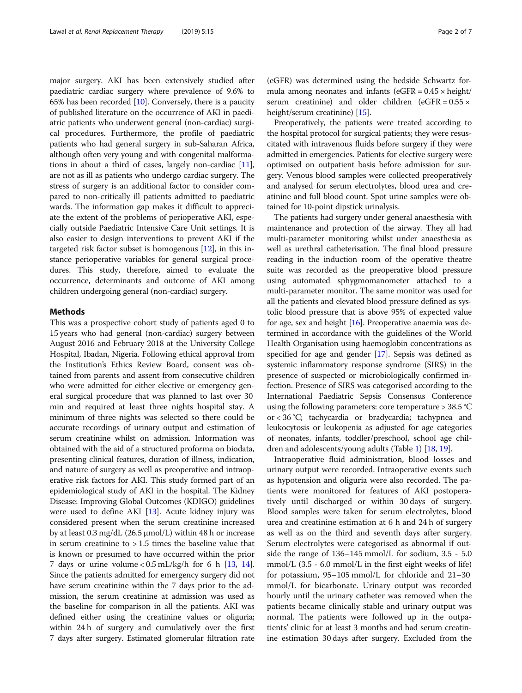major surgery. AKI has been extensively studied after paediatric cardiac surgery where prevalence of 9.6% to 65% has been recorded  $[10]$  $[10]$ . Conversely, there is a paucity of published literature on the occurrence of AKI in paediatric patients who underwent general (non-cardiac) surgical procedures. Furthermore, the profile of paediatric patients who had general surgery in sub-Saharan Africa, although often very young and with congenital malformations in about a third of cases, largely non-cardiac [[11](#page-6-0)], are not as ill as patients who undergo cardiac surgery. The stress of surgery is an additional factor to consider compared to non-critically ill patients admitted to paediatric wards. The information gap makes it difficult to appreciate the extent of the problems of perioperative AKI, especially outside Paediatric Intensive Care Unit settings. It is also easier to design interventions to prevent AKI if the targeted risk factor subset is homogenous  $[12]$ , in this instance perioperative variables for general surgical procedures. This study, therefore, aimed to evaluate the occurrence, determinants and outcome of AKI among children undergoing general (non-cardiac) surgery.

#### Methods

This was a prospective cohort study of patients aged 0 to 15 years who had general (non-cardiac) surgery between August 2016 and February 2018 at the University College Hospital, Ibadan, Nigeria. Following ethical approval from the Institution's Ethics Review Board, consent was obtained from parents and assent from consecutive children who were admitted for either elective or emergency general surgical procedure that was planned to last over 30 min and required at least three nights hospital stay. A minimum of three nights was selected so there could be accurate recordings of urinary output and estimation of serum creatinine whilst on admission. Information was obtained with the aid of a structured proforma on biodata, presenting clinical features, duration of illness, indication, and nature of surgery as well as preoperative and intraoperative risk factors for AKI. This study formed part of an epidemiological study of AKI in the hospital. The Kidney Disease: Improving Global Outcomes (KDIGO) guidelines were used to define AKI  $[13]$ . Acute kidney injury was considered present when the serum creatinine increased by at least 0.3 mg/dL  $(26.5 \mu \text{mol/L})$  within 48 h or increase in serum creatinine to  $> 1.5$  times the baseline value that is known or presumed to have occurred within the prior 7 days or urine volume  $< 0.5$  mL/kg/h for 6 h [\[13,](#page-6-0) [14](#page-6-0)]. Since the patients admitted for emergency surgery did not have serum creatinine within the 7 days prior to the admission, the serum creatinine at admission was used as the baseline for comparison in all the patients. AKI was defined either using the creatinine values or oliguria; within 24 h of surgery and cumulatively over the first 7 days after surgery. Estimated glomerular filtration rate

(eGFR) was determined using the bedside Schwartz formula among neonates and infants (eGFR =  $0.45 \times$  height/ serum creatinine) and older children (eGFR =  $0.55 \times$ height/serum creatinine) [\[15\]](#page-6-0).

Preoperatively, the patients were treated according to the hospital protocol for surgical patients; they were resuscitated with intravenous fluids before surgery if they were admitted in emergencies. Patients for elective surgery were optimised on outpatient basis before admission for surgery. Venous blood samples were collected preoperatively and analysed for serum electrolytes, blood urea and creatinine and full blood count. Spot urine samples were obtained for 10-point dipstick urinalysis.

The patients had surgery under general anaesthesia with maintenance and protection of the airway. They all had multi-parameter monitoring whilst under anaesthesia as well as urethral catheterisation. The final blood pressure reading in the induction room of the operative theatre suite was recorded as the preoperative blood pressure using automated sphygmomanometer attached to a multi-parameter monitor. The same monitor was used for all the patients and elevated blood pressure defined as systolic blood pressure that is above 95% of expected value for age, sex and height  $[16]$ . Preoperative anaemia was determined in accordance with the guidelines of the World Health Organisation using haemoglobin concentrations as specified for age and gender [\[17\]](#page-6-0). Sepsis was defined as systemic inflammatory response syndrome (SIRS) in the presence of suspected or microbiologically confirmed infection. Presence of SIRS was categorised according to the International Paediatric Sepsis Consensus Conference using the following parameters: core temperature > 38.5 °C or < 36 °C; tachycardia or bradycardia; tachypnea and leukocytosis or leukopenia as adjusted for age categories of neonates, infants, toddler/preschool, school age children and adolescents/young adults (Table [1](#page-2-0)) [\[18,](#page-6-0) [19](#page-6-0)].

Intraoperative fluid administration, blood losses and urinary output were recorded. Intraoperative events such as hypotension and oliguria were also recorded. The patients were monitored for features of AKI postoperatively until discharged or within 30 days of surgery. Blood samples were taken for serum electrolytes, blood urea and creatinine estimation at 6 h and 24 h of surgery as well as on the third and seventh days after surgery. Serum electrolytes were categorised as abnormal if outside the range of 136–145 mmol/L for sodium, 3.5 - 5.0 mmol/L (3.5 - 6.0 mmol/L in the first eight weeks of life) for potassium, 95–105 mmol/L for chloride and 21–30 mmol/L for bicarbonate. Urinary output was recorded hourly until the urinary catheter was removed when the patients became clinically stable and urinary output was normal. The patients were followed up in the outpatients' clinic for at least 3 months and had serum creatinine estimation 30 days after surgery. Excluded from the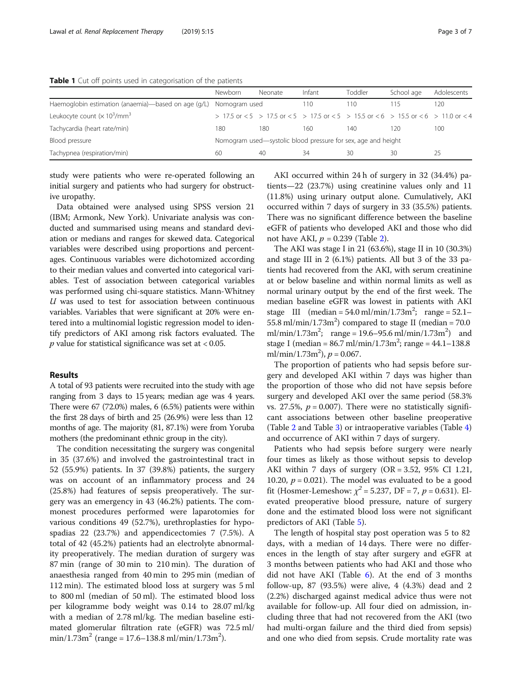<span id="page-2-0"></span>Table 1 Cut off points used in categorisation of the patients

|                                                                   | Newborn | Neonate | Infant                                                                                                      | Toddler | School age | Adolescents |
|-------------------------------------------------------------------|---------|---------|-------------------------------------------------------------------------------------------------------------|---------|------------|-------------|
| Haemoglobin estimation (anaemia)—based on age (g/L) Nomogram used |         |         | 110.                                                                                                        | 110     | l 15       | 20          |
| Leukocyte count $(x 10^3/\text{mm}^3)$                            |         |         | $> 17.5$ or $< 5$ $> 17.5$ or $< 5$ $> 17.5$ or $< 5$ $> 15.5$ or $< 6$ $> 15.5$ or $< 6$ $> 11.0$ or $< 4$ |         |            |             |
| Tachycardia (heart rate/min)                                      | 180     | 180     | 160                                                                                                         | 140     | 120        | 100         |
| Blood pressure                                                    |         |         | Nomogram used—systolic blood pressure for sex, age and height                                               |         |            |             |
| Tachypnea (respiration/min)                                       | 60      | 40      | 34                                                                                                          | 30      | 30         | 25          |

study were patients who were re-operated following an initial surgery and patients who had surgery for obstructive uropathy.

Data obtained were analysed using SPSS version 21 (IBM; Armonk, New York). Univariate analysis was conducted and summarised using means and standard deviation or medians and ranges for skewed data. Categorical variables were described using proportions and percentages. Continuous variables were dichotomized according to their median values and converted into categorical variables. Test of association between categorical variables was performed using chi-square statistics. Mann-Whitney  $U$  was used to test for association between continuous variables. Variables that were significant at 20% were entered into a multinomial logistic regression model to identify predictors of AKI among risk factors evaluated. The  $p$  value for statistical significance was set at < 0.05.

## Results

A total of 93 patients were recruited into the study with age ranging from 3 days to 15 years; median age was 4 years. There were 67 (72.0%) males, 6 (6.5%) patients were within the first 28 days of birth and 25 (26.9%) were less than 12 months of age. The majority (81, 87.1%) were from Yoruba mothers (the predominant ethnic group in the city).

The condition necessitating the surgery was congenital in 35 (37.6%) and involved the gastrointestinal tract in 52 (55.9%) patients. In 37 (39.8%) patients, the surgery was on account of an inflammatory process and 24 (25.8%) had features of sepsis preoperatively. The surgery was an emergency in 43 (46.2%) patients. The commonest procedures performed were laparotomies for various conditions 49 (52.7%), urethroplasties for hypospadias 22 (23.7%) and appendicectomies 7 (7.5%). A total of 42 (45.2%) patients had an electrolyte abnormality preoperatively. The median duration of surgery was 87 min (range of 30 min to 210 min). The duration of anaesthesia ranged from 40 min to 295 min (median of 112 min). The estimated blood loss at surgery was 5 ml to 800 ml (median of 50 ml). The estimated blood loss per kilogramme body weight was 0.14 to 28.07 ml/kg with a median of 2.78 ml/kg. The median baseline estimated glomerular filtration rate (eGFR) was 72.5 ml/ min/1.73m<sup>2</sup> (range = 17.6–138.8 ml/min/1.73m<sup>2</sup>).

AKI occurred within 24 h of surgery in 32 (34.4%) patients—22 (23.7%) using creatinine values only and 11 (11.8%) using urinary output alone. Cumulatively, AKI occurred within 7 days of surgery in 33 (35.5%) patients. There was no significant difference between the baseline eGFR of patients who developed AKI and those who did not have AKI,  $p = 0.239$  $p = 0.239$  $p = 0.239$  (Table 2).

The AKI was stage I in 21 (63.6%), stage II in 10 (30.3%) and stage III in 2 (6.1%) patients. All but 3 of the 33 patients had recovered from the AKI, with serum creatinine at or below baseline and within normal limits as well as normal urinary output by the end of the first week. The median baseline eGFR was lowest in patients with AKI stage III  $(median = 54.0 \text{ ml/min}/1.73 \text{ m}^2)$  range =  $52.1 55.8$  ml/min/1.73m<sup>2</sup>) compared to stage II (median = 70.0 ml/min/1.73m<sup>2</sup>; range = 19.6–95.6 ml/min/1.73m<sup>2</sup>) and stage I (median =  $86.7$  ml/min/ $1.73$ m<sup>2</sup>; range =  $44.1 - 138.8$ ml/min/1.73m<sup>2</sup>),  $p = 0.067$ .

The proportion of patients who had sepsis before surgery and developed AKI within 7 days was higher than the proportion of those who did not have sepsis before surgery and developed AKI over the same period (58.3% vs. 27.5%,  $p = 0.007$ ). There were no statistically significant associations between other baseline preoperative (Table [2](#page-3-0) and Table [3\)](#page-3-0) or intraoperative variables (Table [4](#page-3-0)) and occurrence of AKI within 7 days of surgery.

Patients who had sepsis before surgery were nearly four times as likely as those without sepsis to develop AKI within 7 days of surgery  $(OR = 3.52, 95\% \text{ CI } 1.21,$ 10.20,  $p = 0.021$ ). The model was evaluated to be a good fit (Hosmer-Lemeshow:  $\chi^2$  = 5.237, DF = 7, p = 0.631). Elevated preoperative blood pressure, nature of surgery done and the estimated blood loss were not significant predictors of AKI (Table [5\)](#page-4-0).

The length of hospital stay post operation was 5 to 82 days, with a median of 14 days. There were no differences in the length of stay after surgery and eGFR at 3 months between patients who had AKI and those who did not have AKI (Table  $6$ ). At the end of 3 months follow-up, 87 (93.5%) were alive, 4 (4.3%) dead and 2 (2.2%) discharged against medical advice thus were not available for follow-up. All four died on admission, including three that had not recovered from the AKI (two had multi-organ failure and the third died from sepsis) and one who died from sepsis. Crude mortality rate was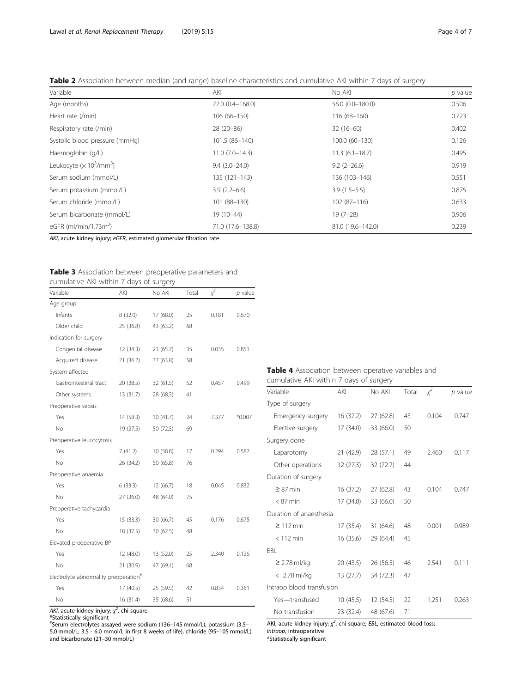<span id="page-3-0"></span>

| Table 2 Association between median (and range) baseline characteristics and cumulative AKI within 7 days of surgery |  |  |
|---------------------------------------------------------------------------------------------------------------------|--|--|
|---------------------------------------------------------------------------------------------------------------------|--|--|

| Variable                                                | AKI               | No AKI             | $p$ value |
|---------------------------------------------------------|-------------------|--------------------|-----------|
| Age (months)                                            | 72.0 (0.4-168.0)  | 56.0 (0.0-180.0)   | 0.506     |
| Heart rate (/min)                                       | $106(66 - 150)$   | $116(68-160)$      | 0.723     |
| Respiratory rate (/min)                                 | 28 (20-86)        | $32(16-60)$        | 0.402     |
| Systolic blood pressure (mmHg)                          | 101.5 (86-140)    | 100.0 (60-130)     | 0.126     |
| Haemoglobin (g/L)                                       | $11.0(7.0-14.3)$  | $11.3(6.1 - 18.7)$ | 0.495     |
| Leukocyte ( $\times$ 10 <sup>3</sup> /mm <sup>3</sup> ) | $9.4(3.0-24.0)$   | $9.2(2 - 26.6)$    | 0.919     |
| Serum sodium (mmol/L)                                   | 135 (121-143)     | 136 (103-146)      | 0.551     |
| Serum potassium (mmol/L)                                | $3.9(2.2 - 6.6)$  | $3.9(1.5-5.5)$     | 0.875     |
| Serum chloride (mmol/L)                                 | 101 (88-130)      | $102(87-116)$      | 0.633     |
| Serum bicarbonate (mmol/L)                              | 19 (10-44)        | $19(7-28)$         | 0.906     |
| eGFR (ml/min/1.73 $m2$ )                                | 71.0 (17.6-138.8) | 81.0 (19.6-142.0)  | 0.239     |

AKI, acute kidney injury; eGFR, estimated glomerular filtration rate

| Table 3 Association between preoperative parameters and |  |
|---------------------------------------------------------|--|
| cumulative AKI within 7 days of surgery                 |  |

| Variable                                          | AKI       | No AKI    | Total | $x^2$ | $p$ value |
|---------------------------------------------------|-----------|-----------|-------|-------|-----------|
| Age group                                         |           |           |       |       |           |
| Infants                                           | 8 (32.0)  | 17 (68.0) | 25    | 0.181 | 0.670     |
| Older child                                       | 25 (36.8) | 43 (63.2) | 68    |       |           |
| Indication for surgery                            |           |           |       |       |           |
| Congenital disease                                | 12 (34.3) | 23 (65.7) | 35    | 0.035 | 0.851     |
| Acquired disease                                  | 21 (36.2) | 37 (63.8) | 58    |       |           |
| System affected                                   |           |           |       |       |           |
| Gastrointestinal tract                            | 20 (38.5) | 32 (61.5) | 52    | 0.457 | 0.499     |
| Other systems                                     | 13 (31.7) | 28 (68.3) | 41    |       |           |
| Preoperative sepsis                               |           |           |       |       |           |
| Yes                                               | 14 (58.3) | 10 (41.7) | 24    | 7.377 | *0.007    |
| No                                                | 19 (27.5) | 50 (72.5) | 69    |       |           |
| Preoperative leucocytosis                         |           |           |       |       |           |
| Yes                                               | 7(41.2)   | 10 (58.8) | 17    | 0.294 | 0.587     |
| No                                                | 26 (34.2) | 50 (65.8) | 76    |       |           |
| Preoperative anaemia                              |           |           |       |       |           |
| Yes                                               | 6(33.3)   | 12 (66.7) | 18    | 0.045 | 0.832     |
| No                                                | 27 (36.0) | 48 (64.0) | 75    |       |           |
| Preoperative tachycardia                          |           |           |       |       |           |
| Yes                                               | 15 (33.3) | 30 (66.7) | 45    | 0.176 | 0.675     |
| No                                                | 18 (37.5) | 30 (62.5) | 48    |       |           |
| Elevated preoperative BP                          |           |           |       |       |           |
| Yes                                               | 12 (48.0) | 13 (52.0) | 25    | 2.340 | 0.126     |
| No                                                | 21 (30.9) | 47 (69.1) | 68    |       |           |
| Electrolyte abnormality preoperation <sup>#</sup> |           |           |       |       |           |
| Yes                                               | 17 (40.5) | 25 (59.5) | 42    | 0.834 | 0.361     |
| No                                                | 16 (31.4) | 35 (68.6) | 51    |       |           |

AKI, acute kidney injury;  $\chi^2$ , chi-square

\*Statistically significant # Serum electrolytes assayed were sodium (136–145 mmol/L), potassium (3.5– 5.0 mmol/L; 3.5 - 6.0 mmol/L in first 8 weeks of life), chloride (95–105 mmol/L) and bicarbonate (21–30 mmol/L)

# Table 4 Association between operative variables and cumulative AKI within 7 days of surgery

| Variable                  | AKI       | No AKI    | Total | $\chi^2$ | $p$ value |
|---------------------------|-----------|-----------|-------|----------|-----------|
| Type of surgery           |           |           |       |          |           |
| Emergency surgery         | 16 (37.2) | 27(62.8)  | 43    | 0.104    | 0.747     |
| Elective surgery          | 17 (34.0) | 33 (66.0) | 50    |          |           |
| Surgery done              |           |           |       |          |           |
| Laparotomy                | 21(42.9)  | 28 (57.1) | 49    | 2.460    | 0.117     |
| Other operations          | 12(27.3)  | 32 (72.7) | 44    |          |           |
| Duration of surgery       |           |           |       |          |           |
| $\geq$ 87 min             | 16(37.2)  | 27 (62.8) | 43    | 0.104    | 0.747     |
| $< 87$ min                | 17(34.0)  | 33 (66.0) | 50    |          |           |
| Duration of anaesthesia   |           |           |       |          |           |
| $\geq$ 112 min            | 17 (35.4) | 31 (64.6) | 48    | 0.001    | 0.989     |
| $< 112$ min               | 16 (35.6) | 29 (64.4) | 45    |          |           |
| FBI.                      |           |           |       |          |           |
| $\geq$ 2.78 ml/kg         | 20 (43.5) | 26 (56.5) | 46    | 2.541    | 0.111     |
| < 2.78 ml/kg              | 13 (27.7) | 34 (72.3) | 47    |          |           |
| Intraop blood transfusion |           |           |       |          |           |
| Yes-transfused            | 10(45.5)  | 12 (54.5) | 22    | 1.251    | 0.263     |
| No transfusion            | 23 (32.4) | 48 (67.6) | 71    |          |           |

AKI, acute kidney injury;  $\chi^2$ , chi-square; EBL, estimated blood loss; Intraop, intraoperative

\*Statistically significant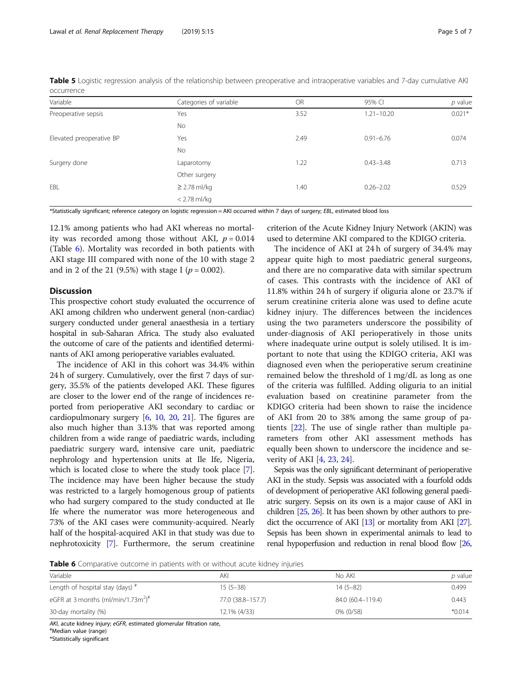<span id="page-4-0"></span>

| Table 5 Logistic regression analysis of the relationship between preoperative and intraoperative variables and 7-day cumulative AKI |  |  |  |
|-------------------------------------------------------------------------------------------------------------------------------------|--|--|--|
| occurrence                                                                                                                          |  |  |  |

| Variable                 | Categories of variable | <b>OR</b> | 95% CI         | $p$ value |
|--------------------------|------------------------|-----------|----------------|-----------|
| Preoperative sepsis      | Yes                    | 3.52      | $1.21 - 10.20$ | $0.021*$  |
|                          | No                     |           |                |           |
| Elevated preoperative BP | Yes                    | 2.49      | $0.91 - 6.76$  | 0.074     |
|                          | No                     |           |                |           |
| Surgery done             | Laparotomy             | 1.22      | $0.43 - 3.48$  | 0.713     |
|                          | Other surgery          |           |                |           |
| EBL                      | $\geq$ 2.78 ml/kg      | 1.40      | $0.26 - 2.02$  | 0.529     |
|                          | $<$ 2.78 ml/kg         |           |                |           |

\*Statistically significant; reference category on logistic regression = AKI occurred within 7 days of surgery; EBL, estimated blood loss

12.1% among patients who had AKI whereas no mortality was recorded among those without AKI,  $p = 0.014$ (Table 6). Mortality was recorded in both patients with AKI stage III compared with none of the 10 with stage 2 and in 2 of the 21 (9.5%) with stage I ( $p = 0.002$ ).

# **Discussion**

This prospective cohort study evaluated the occurrence of AKI among children who underwent general (non-cardiac) surgery conducted under general anaesthesia in a tertiary hospital in sub-Saharan Africa. The study also evaluated the outcome of care of the patients and identified determinants of AKI among perioperative variables evaluated.

The incidence of AKI in this cohort was 34.4% within 24 h of surgery. Cumulatively, over the first 7 days of surgery, 35.5% of the patients developed AKI. These figures are closer to the lower end of the range of incidences reported from perioperative AKI secondary to cardiac or cardiopulmonary surgery  $[6, 10, 20, 21]$  $[6, 10, 20, 21]$  $[6, 10, 20, 21]$  $[6, 10, 20, 21]$  $[6, 10, 20, 21]$  $[6, 10, 20, 21]$  $[6, 10, 20, 21]$  $[6, 10, 20, 21]$  $[6, 10, 20, 21]$ . The figures are also much higher than 3.13% that was reported among children from a wide range of paediatric wards, including paediatric surgery ward, intensive care unit, paediatric nephrology and hypertension units at Ile Ife, Nigeria, which is located close to where the study took place [[7](#page-6-0)]. The incidence may have been higher because the study was restricted to a largely homogenous group of patients who had surgery compared to the study conducted at Ile Ife where the numerator was more heterogeneous and 73% of the AKI cases were community-acquired. Nearly half of the hospital-acquired AKI in that study was due to nephrotoxicity [\[7](#page-6-0)]. Furthermore, the serum creatinine criterion of the Acute Kidney Injury Network (AKIN) was used to determine AKI compared to the KDIGO criteria.

The incidence of AKI at 24 h of surgery of 34.4% may appear quite high to most paediatric general surgeons, and there are no comparative data with similar spectrum of cases. This contrasts with the incidence of AKI of 11.8% within 24 h of surgery if oliguria alone or 23.7% if serum creatinine criteria alone was used to define acute kidney injury. The differences between the incidences using the two parameters underscore the possibility of under-diagnosis of AKI perioperatively in those units where inadequate urine output is solely utilised. It is important to note that using the KDIGO criteria, AKI was diagnosed even when the perioperative serum creatinine remained below the threshold of 1 mg/dL as long as one of the criteria was fulfilled. Adding oliguria to an initial evaluation based on creatinine parameter from the KDIGO criteria had been shown to raise the incidence of AKI from 20 to 38% among the same group of patients [\[22\]](#page-6-0). The use of single rather than multiple parameters from other AKI assessment methods has equally been shown to underscore the incidence and severity of AKI [\[4](#page-5-0), [23,](#page-6-0) [24\]](#page-6-0).

Sepsis was the only significant determinant of perioperative AKI in the study. Sepsis was associated with a fourfold odds of development of perioperative AKI following general paediatric surgery. Sepsis on its own is a major cause of AKI in children [[25,](#page-6-0) [26\]](#page-6-0). It has been shown by other authors to predict the occurrence of AKI [[13\]](#page-6-0) or mortality from AKI [\[27\]](#page-6-0). Sepsis has been shown in experimental animals to lead to renal hypoperfusion and reduction in renal blood flow [\[26](#page-6-0),

Table 6 Comparative outcome in patients with or without acute kidney injuries

| Variable                                      | AKI               | No AKI            | <i>p</i> value |
|-----------------------------------------------|-------------------|-------------------|----------------|
| Length of hospital stay (days) $*$            | $15(5-38)$        | $14(5-82)$        | 0.499          |
| eGFR at 3 months (ml/min/1.73m <sup>2)#</sup> | 77.0 (38.8–157.7) | 84.0 (60.4-119.4) | 0.443          |
| 30-day mortality (%)                          | 12.1% (4/33)      | 0% (0/58)         | $*0.014$       |

AKI, acute kidney injury; eGFR, estimated glomerular filtration rate,

\*Statistically significant

Median value (range)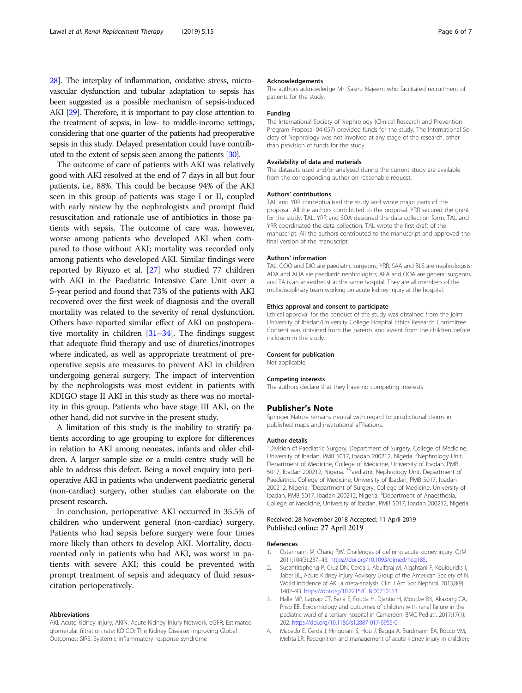<span id="page-5-0"></span>[28\]](#page-6-0). The interplay of inflammation, oxidative stress, microvascular dysfunction and tubular adaptation to sepsis has been suggested as a possible mechanism of sepsis-induced AKI [[29\]](#page-6-0). Therefore, it is important to pay close attention to the treatment of sepsis, in low- to middle-income settings, considering that one quarter of the patients had preoperative sepsis in this study. Delayed presentation could have contributed to the extent of sepsis seen among the patients [[30\]](#page-6-0).

The outcome of care of patients with AKI was relatively good with AKI resolved at the end of 7 days in all but four patients, i.e., 88%. This could be because 94% of the AKI seen in this group of patients was stage I or II, coupled with early review by the nephrologists and prompt fluid resuscitation and rationale use of antibiotics in those patients with sepsis. The outcome of care was, however, worse among patients who developed AKI when compared to those without AKI; mortality was recorded only among patients who developed AKI. Similar findings were reported by Riyuzo et al. [\[27\]](#page-6-0) who studied 77 children with AKI in the Paediatric Intensive Care Unit over a 5-year period and found that 73% of the patients with AKI recovered over the first week of diagnosis and the overall mortality was related to the severity of renal dysfunction. Others have reported similar effect of AKI on postoperative mortality in children  $[31-34]$  $[31-34]$  $[31-34]$ . The findings suggest that adequate fluid therapy and use of diuretics/inotropes where indicated, as well as appropriate treatment of preoperative sepsis are measures to prevent AKI in children undergoing general surgery. The impact of intervention by the nephrologists was most evident in patients with KDIGO stage II AKI in this study as there was no mortality in this group. Patients who have stage III AKI, on the other hand, did not survive in the present study.

A limitation of this study is the inability to stratify patients according to age grouping to explore for differences in relation to AKI among neonates, infants and older children. A larger sample size or a multi-centre study will be able to address this defect. Being a novel enquiry into perioperative AKI in patients who underwent paediatric general (non-cardiac) surgery, other studies can elaborate on the present research.

In conclusion, perioperative AKI occurred in 35.5% of children who underwent general (non-cardiac) surgery. Patients who had sepsis before surgery were four times more likely than others to develop AKI. Mortality, documented only in patients who had AKI, was worst in patients with severe AKI; this could be prevented with prompt treatment of sepsis and adequacy of fluid resuscitation perioperatively.

#### Abbreviations

AKI: Acute kidney injury; AKIN: Acute Kidney Injury Network; eGFR: Estimated glomerular filtration rate; KDIGO: The Kidney Disease: Improving Global Outcomes; SIRS: Systemic inflammatory response syndrome

#### Acknowledgements

The authors acknowledge Mr. Sakiru Najeem who facilitated recruitment of patients for the study.

### Funding

The International Society of Nephrology (Clinical Research and Prevention Program Proposal 04-057) provided funds for the study. The International Society of Nephrology was not involved at any stage of the research, other than provision of funds for the study.

#### Availability of data and materials

The datasets used and/or analysed during the current study are available from the corresponding author on reasonable request.

#### Authors' contributions

TAL and YRR conceptualised the study and wrote major parts of the proposal. All the authors contributed to the proposal. YRR secured the grant for the study. TAL, YRR and SOA designed the data collection form. TAL and YRR coordinated the data collection. TAL wrote the first draft of the manuscript. All the authors contributed to the manuscript and approved the final version of the manuscript.

#### Authors' information

TAL, OOO and DIO are paediatric surgeons; YRR, SAA and BLS are nephrologists; ADA and AOA are paediatric nephrologists; AFA and OOA are general surgeons and TA is an anaesthetist at the same hospital. They are all members of the multidisciplinary team working on acute kidney injury at the hospital.

#### Ethics approval and consent to participate

Ethical approval for the conduct of the study was obtained from the joint University of Ibadan/University College Hospital Ethics Research Committee. Consent was obtained from the parents and assent from the children before inclusion in the study.

#### Consent for publication

Not applicable.

#### Competing interests

The authors declare that they have no competing interests.

#### Publisher's Note

Springer Nature remains neutral with regard to jurisdictional claims in published maps and institutional affiliations.

#### Author details

<sup>1</sup> Division of Paediatric Surgery, Department of Surgery, College of Medicine, University of Ibadan, PMB 5017, Ibadan 200212, Nigeria. <sup>2</sup>Nephrology Unit Department of Medicine, College of Medicine, University of Ibadan, PMB 5017, Ibadan 200212, Nigeria. <sup>3</sup>Paediatric Nephrology Unit, Department of Paediatrics, College of Medicine, University of Ibadan, PMB 5017, Ibadan 200212, Nigeria. <sup>4</sup>Department of Surgery, College of Medicine, University of Ibadan, PMB 5017, Ibadan 200212, Nigeria. <sup>5</sup>Department of Anaesthesia, College of Medicine, University of Ibadan, PMB 5017, Ibadan 200212, Nigeria.

#### Received: 28 November 2018 Accepted: 11 April 2019 Published online: 27 April 2019

#### References

- 1. Ostermann M, Chang RW. Challenges of defining acute kidney injury. QJM. 2011;104(3):237–43. <https://doi.org/10.1093/qjmed/hcq185>.
- 2. Susantitaphong P, Cruz DN, Cerda J, Abulfaraj M, Alqahtani F, Koulouridis I, Jaber BL, Acute Kidney Injury Advisory Group of the American Society of N. World incidence of AKI: a meta-analysis. Clin J Am Soc Nephrol. 2013;8(9): 1482–93. [https://doi.org/10.2215/CJN.00710113.](https://doi.org/10.2215/CJN.00710113)
- 3. Halle MP, Lapsap CT, Barla E, Fouda H, Djantio H, Moudze BK, Akazong CA, Priso EB. Epidemiology and outcomes of children with renal failure in the pediatric ward of a tertiary hospital in Cameroon. BMC Pediatr. 2017;17(1): 202. [https://doi.org/10.1186/s12887-017-0955-0.](https://doi.org/10.1186/s12887-017-0955-0)
- 4. Macedo E, Cerda J, Hingorani S, Hou J, Bagga A, Burdmann EA, Rocco VM, Mehta LR. Recognition and management of acute kidney injury in children: